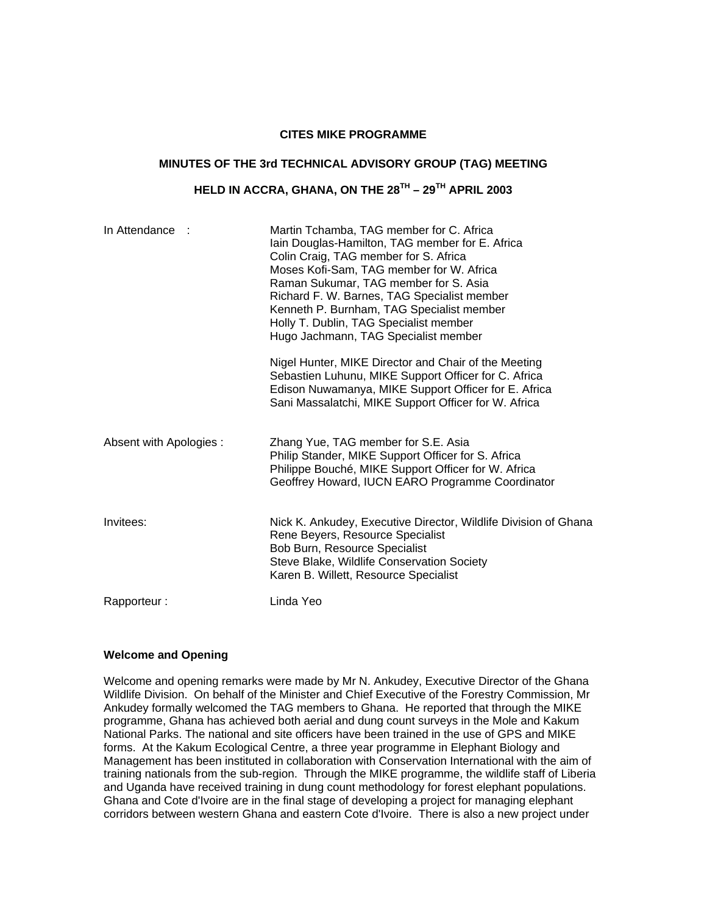#### **CITES MIKE PROGRAMME**

#### **MINUTES OF THE 3rd TECHNICAL ADVISORY GROUP (TAG) MEETING**

# **HELD IN ACCRA, GHANA, ON THE 28TH – 29TH APRIL 2003**

| In Attendance :         | Martin Tchamba, TAG member for C. Africa<br>Iain Douglas-Hamilton, TAG member for E. Africa<br>Colin Craig, TAG member for S. Africa<br>Moses Kofi-Sam, TAG member for W. Africa<br>Raman Sukumar, TAG member for S. Asia<br>Richard F. W. Barnes, TAG Specialist member<br>Kenneth P. Burnham, TAG Specialist member<br>Holly T. Dublin, TAG Specialist member<br>Hugo Jachmann, TAG Specialist member<br>Nigel Hunter, MIKE Director and Chair of the Meeting<br>Sebastien Luhunu, MIKE Support Officer for C. Africa<br>Edison Nuwamanya, MIKE Support Officer for E. Africa<br>Sani Massalatchi, MIKE Support Officer for W. Africa |
|-------------------------|-----------------------------------------------------------------------------------------------------------------------------------------------------------------------------------------------------------------------------------------------------------------------------------------------------------------------------------------------------------------------------------------------------------------------------------------------------------------------------------------------------------------------------------------------------------------------------------------------------------------------------------------|
| Absent with Apologies : | Zhang Yue, TAG member for S.E. Asia<br>Philip Stander, MIKE Support Officer for S. Africa<br>Philippe Bouché, MIKE Support Officer for W. Africa<br>Geoffrey Howard, IUCN EARO Programme Coordinator                                                                                                                                                                                                                                                                                                                                                                                                                                    |
| Invitees:               | Nick K. Ankudey, Executive Director, Wildlife Division of Ghana<br>Rene Beyers, Resource Specialist<br>Bob Burn, Resource Specialist<br>Steve Blake, Wildlife Conservation Society<br>Karen B. Willett, Resource Specialist                                                                                                                                                                                                                                                                                                                                                                                                             |
| Rapporteur:             | Linda Yeo                                                                                                                                                                                                                                                                                                                                                                                                                                                                                                                                                                                                                               |

#### **Welcome and Opening**

Welcome and opening remarks were made by Mr N. Ankudey, Executive Director of the Ghana Wildlife Division. On behalf of the Minister and Chief Executive of the Forestry Commission, Mr Ankudey formally welcomed the TAG members to Ghana. He reported that through the MIKE programme, Ghana has achieved both aerial and dung count surveys in the Mole and Kakum National Parks. The national and site officers have been trained in the use of GPS and MIKE forms. At the Kakum Ecological Centre, a three year programme in Elephant Biology and Management has been instituted in collaboration with Conservation International with the aim of training nationals from the sub-region. Through the MIKE programme, the wildlife staff of Liberia and Uganda have received training in dung count methodology for forest elephant populations. Ghana and Cote d'Ivoire are in the final stage of developing a project for managing elephant corridors between western Ghana and eastern Cote d'Ivoire. There is also a new project under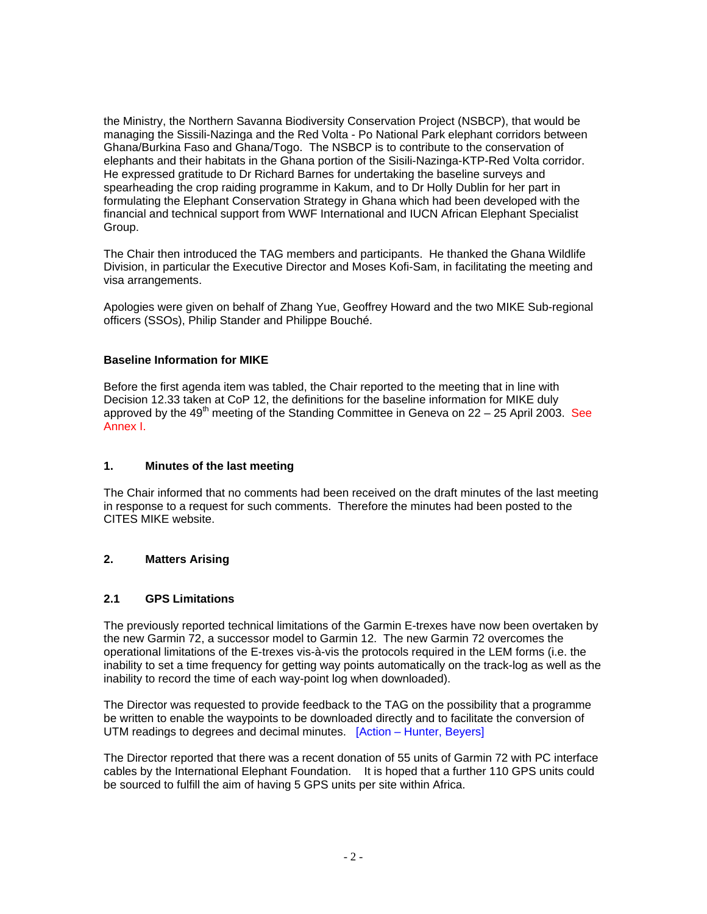the Ministry, the Northern Savanna Biodiversity Conservation Project (NSBCP), that would be managing the Sissili-Nazinga and the Red Volta - Po National Park elephant corridors between Ghana/Burkina Faso and Ghana/Togo. The NSBCP is to contribute to the conservation of elephants and their habitats in the Ghana portion of the Sisili-Nazinga-KTP-Red Volta corridor. He expressed gratitude to Dr Richard Barnes for undertaking the baseline surveys and spearheading the crop raiding programme in Kakum, and to Dr Holly Dublin for her part in formulating the Elephant Conservation Strategy in Ghana which had been developed with the financial and technical support from WWF International and IUCN African Elephant Specialist Group.

The Chair then introduced the TAG members and participants. He thanked the Ghana Wildlife Division, in particular the Executive Director and Moses Kofi-Sam, in facilitating the meeting and visa arrangements.

Apologies were given on behalf of Zhang Yue, Geoffrey Howard and the two MIKE Sub-regional officers (SSOs), Philip Stander and Philippe Bouché.

#### **Baseline Information for MIKE**

Before the first agenda item was tabled, the Chair reported to the meeting that in line with Decision 12.33 taken at CoP 12, the definitions for the baseline information for MIKE duly approved by the 49<sup>th</sup> meeting of the Standing Committee in Geneva on  $22 - 25$  April 2003. See Annex I.

#### **1. Minutes of the last meeting**

The Chair informed that no comments had been received on the draft minutes of the last meeting in response to a request for such comments. Therefore the minutes had been posted to the CITES MIKE website.

### **2. Matters Arising**

### **2.1 GPS Limitations**

The previously reported technical limitations of the Garmin E-trexes have now been overtaken by the new Garmin 72, a successor model to Garmin 12. The new Garmin 72 overcomes the operational limitations of the E-trexes vis-à-vis the protocols required in the LEM forms (i.e. the inability to set a time frequency for getting way points automatically on the track-log as well as the inability to record the time of each way-point log when downloaded).

The Director was requested to provide feedback to the TAG on the possibility that a programme be written to enable the waypoints to be downloaded directly and to facilitate the conversion of UTM readings to degrees and decimal minutes. [Action – Hunter, Beyers]

The Director reported that there was a recent donation of 55 units of Garmin 72 with PC interface cables by the International Elephant Foundation. It is hoped that a further 110 GPS units could be sourced to fulfill the aim of having 5 GPS units per site within Africa.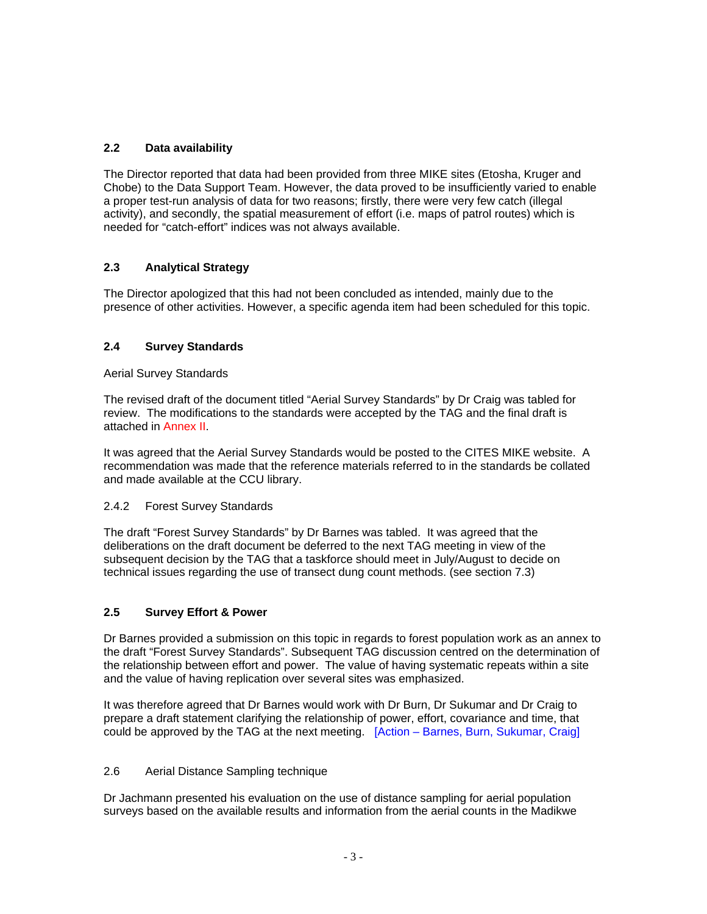## **2.2 Data availability**

The Director reported that data had been provided from three MIKE sites (Etosha, Kruger and Chobe) to the Data Support Team. However, the data proved to be insufficiently varied to enable a proper test-run analysis of data for two reasons; firstly, there were very few catch (illegal activity), and secondly, the spatial measurement of effort (i.e. maps of patrol routes) which is needed for "catch-effort" indices was not always available.

## **2.3 Analytical Strategy**

The Director apologized that this had not been concluded as intended, mainly due to the presence of other activities. However, a specific agenda item had been scheduled for this topic.

## **2.4 Survey Standards**

#### Aerial Survey Standards

The revised draft of the document titled "Aerial Survey Standards" by Dr Craig was tabled for review. The modifications to the standards were accepted by the TAG and the final draft is attached in Annex II.

It was agreed that the Aerial Survey Standards would be posted to the CITES MIKE website. A recommendation was made that the reference materials referred to in the standards be collated and made available at the CCU library.

### 2.4.2 Forest Survey Standards

The draft "Forest Survey Standards" by Dr Barnes was tabled. It was agreed that the deliberations on the draft document be deferred to the next TAG meeting in view of the subsequent decision by the TAG that a taskforce should meet in July/August to decide on technical issues regarding the use of transect dung count methods. (see section 7.3)

### **2.5 Survey Effort & Power**

Dr Barnes provided a submission on this topic in regards to forest population work as an annex to the draft "Forest Survey Standards". Subsequent TAG discussion centred on the determination of the relationship between effort and power. The value of having systematic repeats within a site and the value of having replication over several sites was emphasized.

It was therefore agreed that Dr Barnes would work with Dr Burn, Dr Sukumar and Dr Craig to prepare a draft statement clarifying the relationship of power, effort, covariance and time, that could be approved by the TAG at the next meeting. [Action – Barnes, Burn, Sukumar, Craig]

### 2.6 Aerial Distance Sampling technique

Dr Jachmann presented his evaluation on the use of distance sampling for aerial population surveys based on the available results and information from the aerial counts in the Madikwe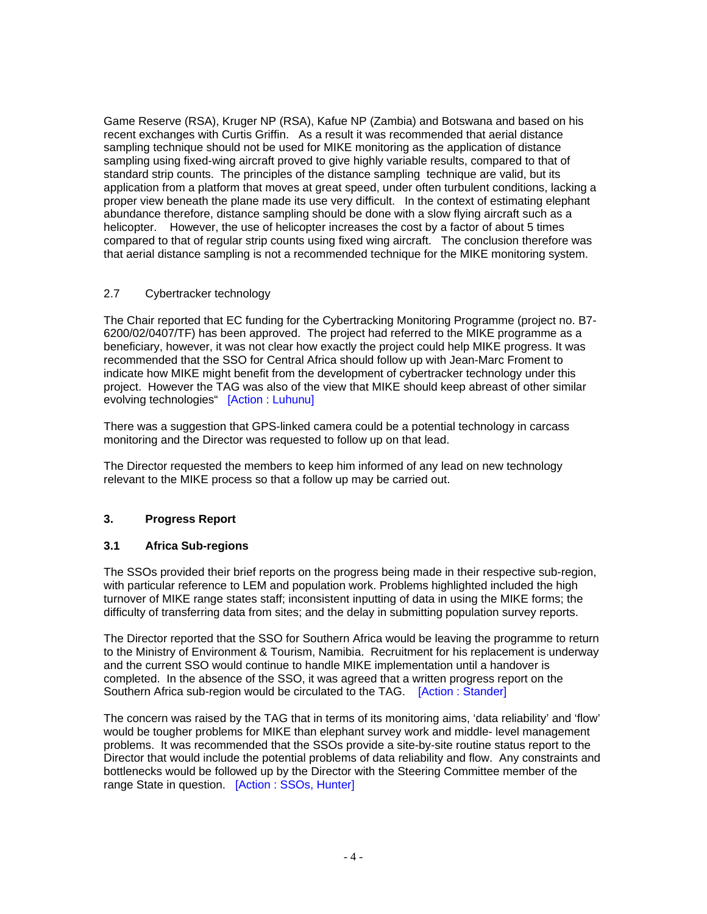Game Reserve (RSA), Kruger NP (RSA), Kafue NP (Zambia) and Botswana and based on his recent exchanges with Curtis Griffin. As a result it was recommended that aerial distance sampling technique should not be used for MIKE monitoring as the application of distance sampling using fixed-wing aircraft proved to give highly variable results, compared to that of standard strip counts. The principles of the distance sampling technique are valid, but its application from a platform that moves at great speed, under often turbulent conditions, lacking a proper view beneath the plane made its use very difficult. In the context of estimating elephant abundance therefore, distance sampling should be done with a slow flying aircraft such as a helicopter. However, the use of helicopter increases the cost by a factor of about 5 times compared to that of regular strip counts using fixed wing aircraft. The conclusion therefore was that aerial distance sampling is not a recommended technique for the MIKE monitoring system.

### 2.7 Cybertracker technology

The Chair reported that EC funding for the Cybertracking Monitoring Programme (project no. B7- 6200/02/0407/TF) has been approved. The project had referred to the MIKE programme as a beneficiary, however, it was not clear how exactly the project could help MIKE progress. It was recommended that the SSO for Central Africa should follow up with Jean-Marc Froment to indicate how MIKE might benefit from the development of cybertracker technology under this project. However the TAG was also of the view that MIKE should keep abreast of other similar evolving technologies" [Action : Luhunu]

There was a suggestion that GPS-linked camera could be a potential technology in carcass monitoring and the Director was requested to follow up on that lead.

The Director requested the members to keep him informed of any lead on new technology relevant to the MIKE process so that a follow up may be carried out.

## **3. Progress Report**

### **3.1 Africa Sub-regions**

The SSOs provided their brief reports on the progress being made in their respective sub-region, with particular reference to LEM and population work. Problems highlighted included the high turnover of MIKE range states staff; inconsistent inputting of data in using the MIKE forms; the difficulty of transferring data from sites; and the delay in submitting population survey reports.

The Director reported that the SSO for Southern Africa would be leaving the programme to return to the Ministry of Environment & Tourism, Namibia. Recruitment for his replacement is underway and the current SSO would continue to handle MIKE implementation until a handover is completed. In the absence of the SSO, it was agreed that a written progress report on the Southern Africa sub-region would be circulated to the TAG. [Action : Stander]

The concern was raised by the TAG that in terms of its monitoring aims, 'data reliability' and 'flow' would be tougher problems for MIKE than elephant survey work and middle- level management problems. It was recommended that the SSOs provide a site-by-site routine status report to the Director that would include the potential problems of data reliability and flow. Any constraints and bottlenecks would be followed up by the Director with the Steering Committee member of the range State in question. [Action : SSOs, Hunter]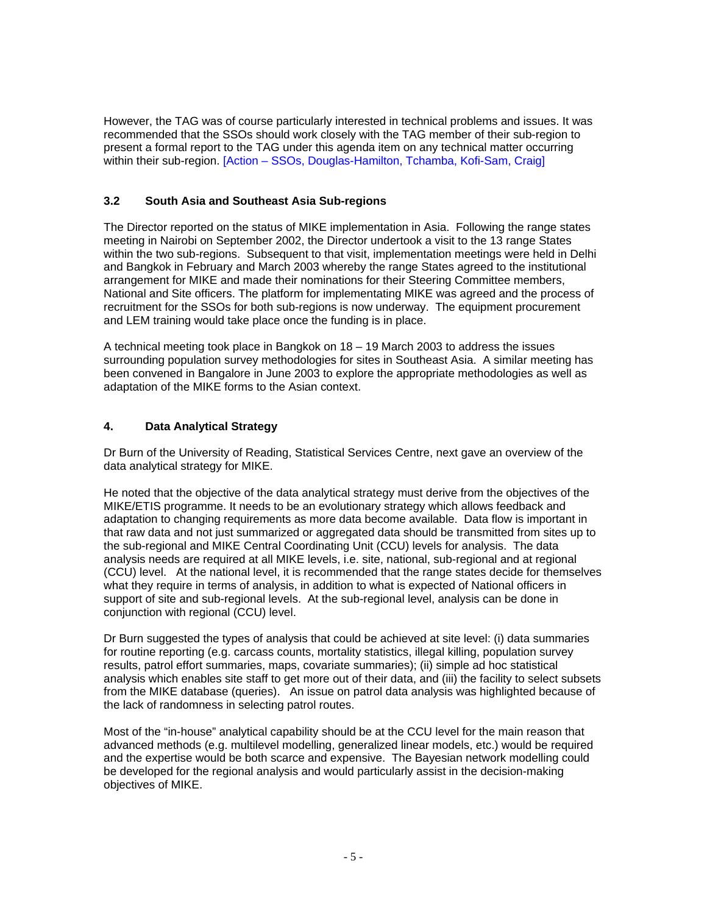However, the TAG was of course particularly interested in technical problems and issues. It was recommended that the SSOs should work closely with the TAG member of their sub-region to present a formal report to the TAG under this agenda item on any technical matter occurring within their sub-region. [Action – SSOs, Douglas-Hamilton, Tchamba, Kofi-Sam, Craig]

### **3.2 South Asia and Southeast Asia Sub-regions**

The Director reported on the status of MIKE implementation in Asia. Following the range states meeting in Nairobi on September 2002, the Director undertook a visit to the 13 range States within the two sub-regions. Subsequent to that visit, implementation meetings were held in Delhi and Bangkok in February and March 2003 whereby the range States agreed to the institutional arrangement for MIKE and made their nominations for their Steering Committee members, National and Site officers. The platform for implementating MIKE was agreed and the process of recruitment for the SSOs for both sub-regions is now underway. The equipment procurement and LEM training would take place once the funding is in place.

A technical meeting took place in Bangkok on 18 – 19 March 2003 to address the issues surrounding population survey methodologies for sites in Southeast Asia. A similar meeting has been convened in Bangalore in June 2003 to explore the appropriate methodologies as well as adaptation of the MIKE forms to the Asian context.

## **4. Data Analytical Strategy**

Dr Burn of the University of Reading, Statistical Services Centre, next gave an overview of the data analytical strategy for MIKE.

He noted that the objective of the data analytical strategy must derive from the objectives of the MIKE/ETIS programme. It needs to be an evolutionary strategy which allows feedback and adaptation to changing requirements as more data become available. Data flow is important in that raw data and not just summarized or aggregated data should be transmitted from sites up to the sub-regional and MIKE Central Coordinating Unit (CCU) levels for analysis. The data analysis needs are required at all MIKE levels, i.e. site, national, sub-regional and at regional (CCU) level. At the national level, it is recommended that the range states decide for themselves what they require in terms of analysis, in addition to what is expected of National officers in support of site and sub-regional levels. At the sub-regional level, analysis can be done in conjunction with regional (CCU) level.

Dr Burn suggested the types of analysis that could be achieved at site level: (i) data summaries for routine reporting (e.g. carcass counts, mortality statistics, illegal killing, population survey results, patrol effort summaries, maps, covariate summaries); (ii) simple ad hoc statistical analysis which enables site staff to get more out of their data, and (iii) the facility to select subsets from the MIKE database (queries). An issue on patrol data analysis was highlighted because of the lack of randomness in selecting patrol routes.

Most of the "in-house" analytical capability should be at the CCU level for the main reason that advanced methods (e.g. multilevel modelling, generalized linear models, etc.) would be required and the expertise would be both scarce and expensive. The Bayesian network modelling could be developed for the regional analysis and would particularly assist in the decision-making objectives of MIKE.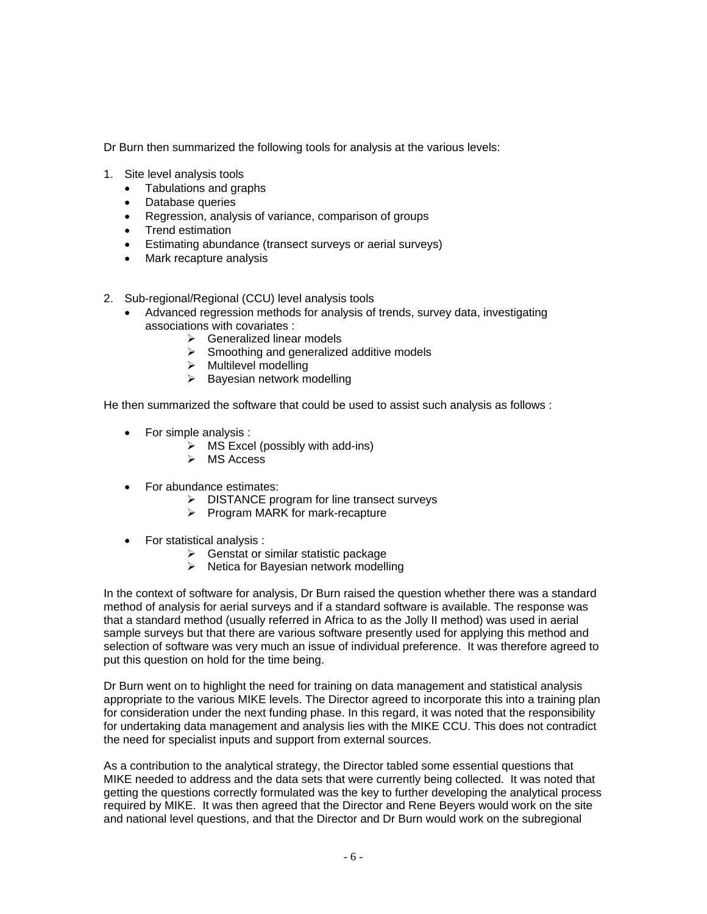Dr Burn then summarized the following tools for analysis at the various levels:

- 1. Site level analysis tools
	- Tabulations and graphs
	- Database queries
	- Regression, analysis of variance, comparison of groups
	- Trend estimation
	- Estimating abundance (transect surveys or aerial surveys)
	- Mark recapture analysis
- 2. Sub-regional/Regional (CCU) level analysis tools
	- Advanced regression methods for analysis of trends, survey data, investigating associations with covariates :
		- $\triangleright$  Generalized linear models
		- $\triangleright$  Smoothing and generalized additive models
		- $\triangleright$  Multilevel modelling
		- $\triangleright$  Bayesian network modelling

He then summarized the software that could be used to assist such analysis as follows :

- For simple analysis :
	- $\triangleright$  MS Excel (possibly with add-ins)
	- $\triangleright$  MS Access
- For abundance estimates:
	- $\triangleright$  DISTANCE program for line transect surveys
	- $\triangleright$  Program MARK for mark-recapture
- For statistical analysis :
	- $\triangleright$  Genstat or similar statistic package
	- $\triangleright$  Netica for Bayesian network modelling

In the context of software for analysis, Dr Burn raised the question whether there was a standard method of analysis for aerial surveys and if a standard software is available. The response was that a standard method (usually referred in Africa to as the Jolly II method) was used in aerial sample surveys but that there are various software presently used for applying this method and selection of software was very much an issue of individual preference. It was therefore agreed to put this question on hold for the time being.

Dr Burn went on to highlight the need for training on data management and statistical analysis appropriate to the various MIKE levels. The Director agreed to incorporate this into a training plan for consideration under the next funding phase. In this regard, it was noted that the responsibility for undertaking data management and analysis lies with the MIKE CCU. This does not contradict the need for specialist inputs and support from external sources.

As a contribution to the analytical strategy, the Director tabled some essential questions that MIKE needed to address and the data sets that were currently being collected. It was noted that getting the questions correctly formulated was the key to further developing the analytical process required by MIKE. It was then agreed that the Director and Rene Beyers would work on the site and national level questions, and that the Director and Dr Burn would work on the subregional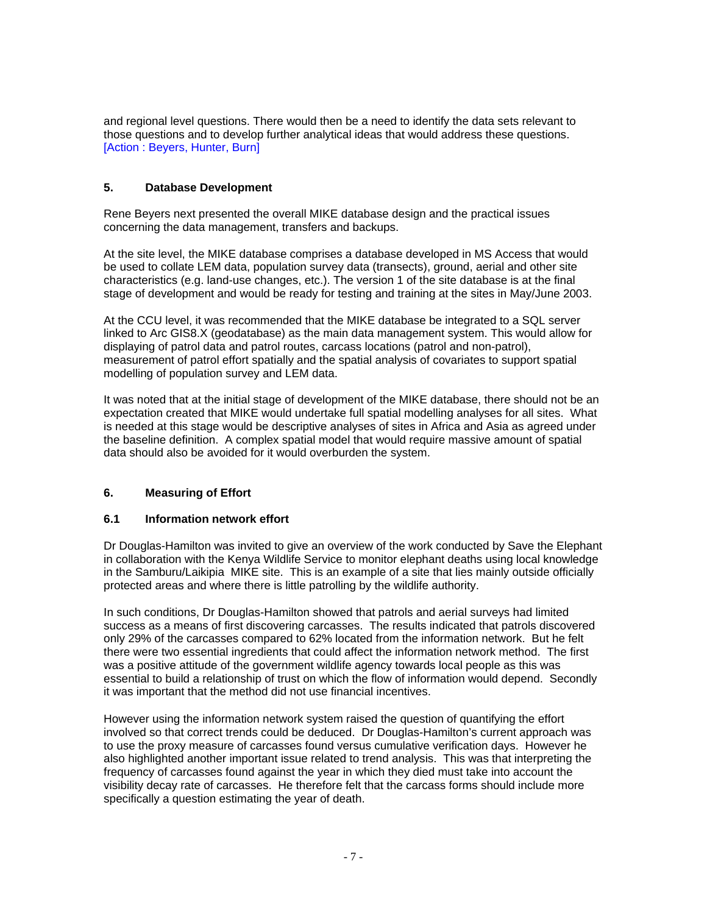and regional level questions. There would then be a need to identify the data sets relevant to those questions and to develop further analytical ideas that would address these questions. [Action : Beyers, Hunter, Burn]

### **5. Database Development**

Rene Beyers next presented the overall MIKE database design and the practical issues concerning the data management, transfers and backups.

At the site level, the MIKE database comprises a database developed in MS Access that would be used to collate LEM data, population survey data (transects), ground, aerial and other site characteristics (e.g. land-use changes, etc.). The version 1 of the site database is at the final stage of development and would be ready for testing and training at the sites in May/June 2003.

At the CCU level, it was recommended that the MIKE database be integrated to a SQL server linked to Arc GIS8.X (geodatabase) as the main data management system. This would allow for displaying of patrol data and patrol routes, carcass locations (patrol and non-patrol), measurement of patrol effort spatially and the spatial analysis of covariates to support spatial modelling of population survey and LEM data.

It was noted that at the initial stage of development of the MIKE database, there should not be an expectation created that MIKE would undertake full spatial modelling analyses for all sites. What is needed at this stage would be descriptive analyses of sites in Africa and Asia as agreed under the baseline definition. A complex spatial model that would require massive amount of spatial data should also be avoided for it would overburden the system.

### **6. Measuring of Effort**

### **6.1 Information network effort**

Dr Douglas-Hamilton was invited to give an overview of the work conducted by Save the Elephant in collaboration with the Kenya Wildlife Service to monitor elephant deaths using local knowledge in the Samburu/Laikipia MIKE site. This is an example of a site that lies mainly outside officially protected areas and where there is little patrolling by the wildlife authority.

In such conditions, Dr Douglas-Hamilton showed that patrols and aerial surveys had limited success as a means of first discovering carcasses. The results indicated that patrols discovered only 29% of the carcasses compared to 62% located from the information network. But he felt there were two essential ingredients that could affect the information network method. The first was a positive attitude of the government wildlife agency towards local people as this was essential to build a relationship of trust on which the flow of information would depend. Secondly it was important that the method did not use financial incentives.

However using the information network system raised the question of quantifying the effort involved so that correct trends could be deduced. Dr Douglas-Hamilton's current approach was to use the proxy measure of carcasses found versus cumulative verification days. However he also highlighted another important issue related to trend analysis. This was that interpreting the frequency of carcasses found against the year in which they died must take into account the visibility decay rate of carcasses. He therefore felt that the carcass forms should include more specifically a question estimating the year of death.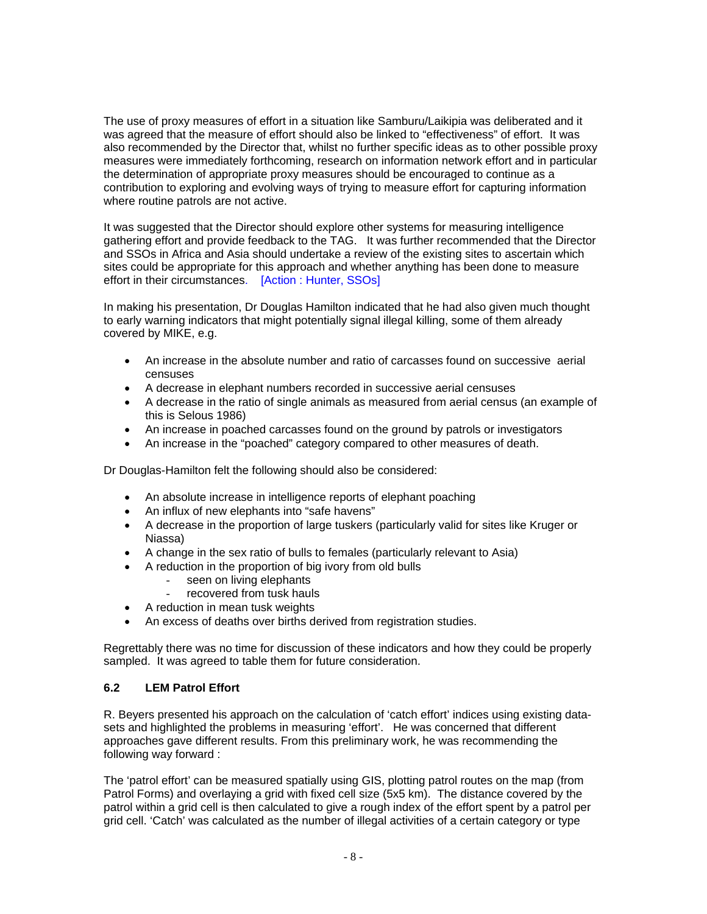The use of proxy measures of effort in a situation like Samburu/Laikipia was deliberated and it was agreed that the measure of effort should also be linked to "effectiveness" of effort. It was also recommended by the Director that, whilst no further specific ideas as to other possible proxy measures were immediately forthcoming, research on information network effort and in particular the determination of appropriate proxy measures should be encouraged to continue as a contribution to exploring and evolving ways of trying to measure effort for capturing information where routine patrols are not active.

It was suggested that the Director should explore other systems for measuring intelligence gathering effort and provide feedback to the TAG. It was further recommended that the Director and SSOs in Africa and Asia should undertake a review of the existing sites to ascertain which sites could be appropriate for this approach and whether anything has been done to measure effort in their circumstances. [Action : Hunter, SSOs]

In making his presentation, Dr Douglas Hamilton indicated that he had also given much thought to early warning indicators that might potentially signal illegal killing, some of them already covered by MIKE, e.g.

- An increase in the absolute number and ratio of carcasses found on successive aerial censuses
- A decrease in elephant numbers recorded in successive aerial censuses
- A decrease in the ratio of single animals as measured from aerial census (an example of this is Selous 1986)
- An increase in poached carcasses found on the ground by patrols or investigators
- An increase in the "poached" category compared to other measures of death.

Dr Douglas-Hamilton felt the following should also be considered:

- An absolute increase in intelligence reports of elephant poaching
- An influx of new elephants into "safe havens"
- A decrease in the proportion of large tuskers (particularly valid for sites like Kruger or Niassa)
- A change in the sex ratio of bulls to females (particularly relevant to Asia)
- A reduction in the proportion of big ivory from old bulls
	- seen on living elephants
	- recovered from tusk hauls
- A reduction in mean tusk weights
- An excess of deaths over births derived from registration studies.

Regrettably there was no time for discussion of these indicators and how they could be properly sampled. It was agreed to table them for future consideration.

### **6.2 LEM Patrol Effort**

R. Beyers presented his approach on the calculation of 'catch effort' indices using existing datasets and highlighted the problems in measuring 'effort'. He was concerned that different approaches gave different results. From this preliminary work, he was recommending the following way forward :

The 'patrol effort' can be measured spatially using GIS, plotting patrol routes on the map (from Patrol Forms) and overlaying a grid with fixed cell size (5x5 km). The distance covered by the patrol within a grid cell is then calculated to give a rough index of the effort spent by a patrol per grid cell. 'Catch' was calculated as the number of illegal activities of a certain category or type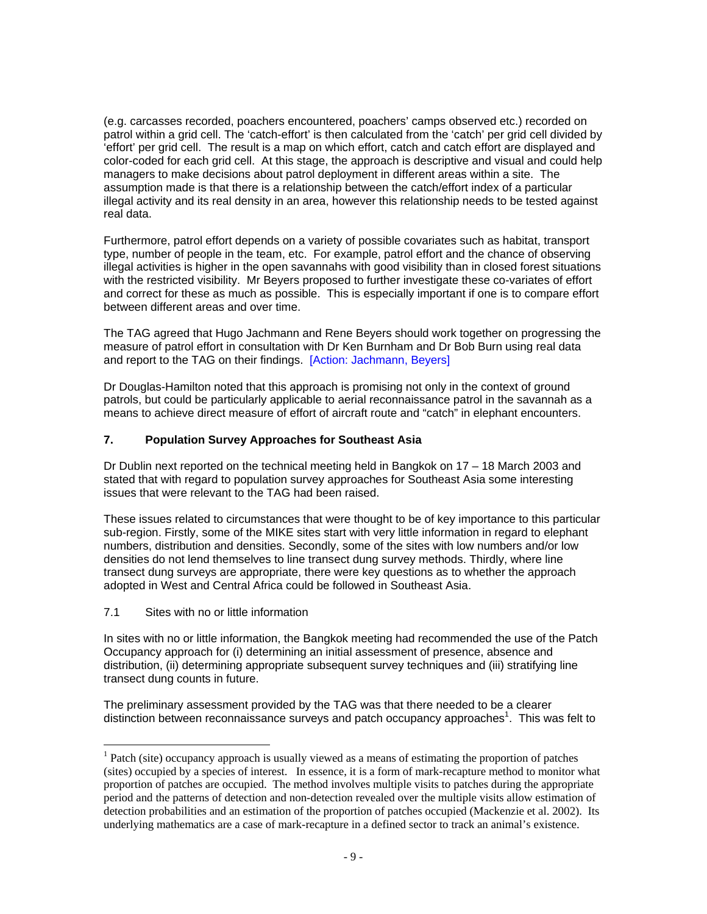(e.g. carcasses recorded, poachers encountered, poachers' camps observed etc.) recorded on patrol within a grid cell. The 'catch-effort' is then calculated from the 'catch' per grid cell divided by 'effort' per grid cell. The result is a map on which effort, catch and catch effort are displayed and color-coded for each grid cell. At this stage, the approach is descriptive and visual and could help managers to make decisions about patrol deployment in different areas within a site. The assumption made is that there is a relationship between the catch/effort index of a particular illegal activity and its real density in an area, however this relationship needs to be tested against real data.

Furthermore, patrol effort depends on a variety of possible covariates such as habitat, transport type, number of people in the team, etc. For example, patrol effort and the chance of observing illegal activities is higher in the open savannahs with good visibility than in closed forest situations with the restricted visibility. Mr Beyers proposed to further investigate these co-variates of effort and correct for these as much as possible. This is especially important if one is to compare effort between different areas and over time.

The TAG agreed that Hugo Jachmann and Rene Beyers should work together on progressing the measure of patrol effort in consultation with Dr Ken Burnham and Dr Bob Burn using real data and report to the TAG on their findings. [Action: Jachmann, Beyers]

Dr Douglas-Hamilton noted that this approach is promising not only in the context of ground patrols, but could be particularly applicable to aerial reconnaissance patrol in the savannah as a means to achieve direct measure of effort of aircraft route and "catch" in elephant encounters.

### **7. Population Survey Approaches for Southeast Asia**

Dr Dublin next reported on the technical meeting held in Bangkok on 17 – 18 March 2003 and stated that with regard to population survey approaches for Southeast Asia some interesting issues that were relevant to the TAG had been raised.

These issues related to circumstances that were thought to be of key importance to this particular sub-region. Firstly, some of the MIKE sites start with very little information in regard to elephant numbers, distribution and densities. Secondly, some of the sites with low numbers and/or low densities do not lend themselves to line transect dung survey methods. Thirdly, where line transect dung surveys are appropriate, there were key questions as to whether the approach adopted in West and Central Africa could be followed in Southeast Asia.

7.1 Sites with no or little information

 $\overline{a}$ 

In sites with no or little information, the Bangkok meeting had recommended the use of the Patch Occupancy approach for (i) determining an initial assessment of presence, absence and distribution, (ii) determining appropriate subsequent survey techniques and (iii) stratifying line transect dung counts in future.

The preliminary assessment provided by the TAG was that there needed to be a clearer distinction between reconnaissance surveys and patch occupancy approaches<sup>1</sup>. This was felt to

<sup>&</sup>lt;sup>1</sup> Patch (site) occupancy approach is usually viewed as a means of estimating the proportion of patches (sites) occupied by a species of interest. In essence, it is a form of mark-recapture method to monitor what proportion of patches are occupied. The method involves multiple visits to patches during the appropriate period and the patterns of detection and non-detection revealed over the multiple visits allow estimation of detection probabilities and an estimation of the proportion of patches occupied (Mackenzie et al. 2002). Its underlying mathematics are a case of mark-recapture in a defined sector to track an animal's existence.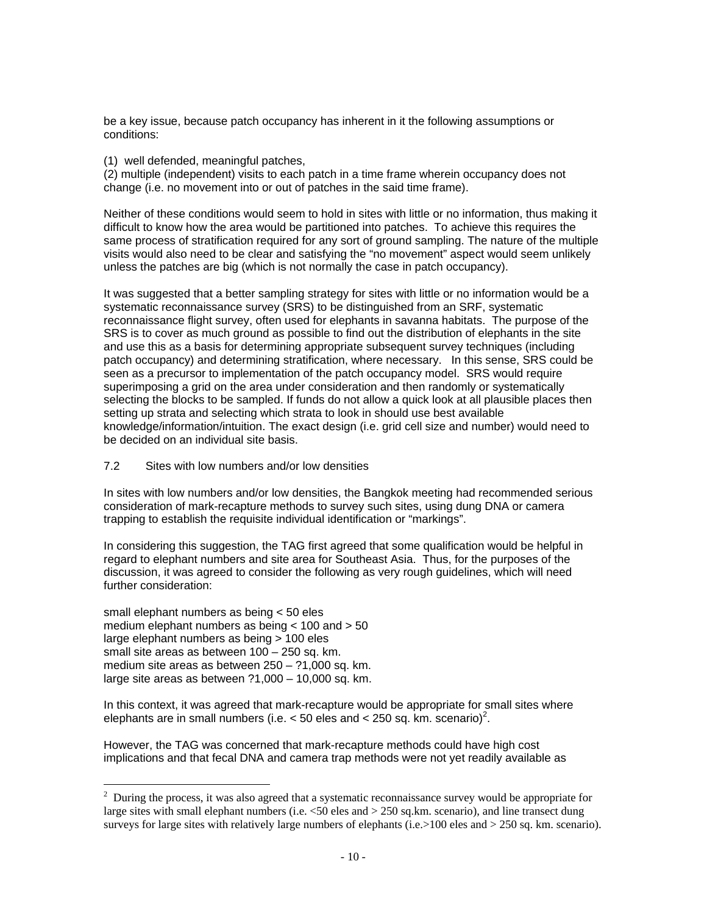be a key issue, because patch occupancy has inherent in it the following assumptions or conditions:

(1) well defended, meaningful patches,

(2) multiple (independent) visits to each patch in a time frame wherein occupancy does not change (i.e. no movement into or out of patches in the said time frame).

Neither of these conditions would seem to hold in sites with little or no information, thus making it difficult to know how the area would be partitioned into patches. To achieve this requires the same process of stratification required for any sort of ground sampling. The nature of the multiple visits would also need to be clear and satisfying the "no movement" aspect would seem unlikely unless the patches are big (which is not normally the case in patch occupancy).

It was suggested that a better sampling strategy for sites with little or no information would be a systematic reconnaissance survey (SRS) to be distinguished from an SRF, systematic reconnaissance flight survey, often used for elephants in savanna habitats. The purpose of the SRS is to cover as much ground as possible to find out the distribution of elephants in the site and use this as a basis for determining appropriate subsequent survey techniques (including patch occupancy) and determining stratification, where necessary. In this sense, SRS could be seen as a precursor to implementation of the patch occupancy model. SRS would require superimposing a grid on the area under consideration and then randomly or systematically selecting the blocks to be sampled. If funds do not allow a quick look at all plausible places then setting up strata and selecting which strata to look in should use best available knowledge/information/intuition. The exact design (i.e. grid cell size and number) would need to be decided on an individual site basis.

7.2 Sites with low numbers and/or low densities

In sites with low numbers and/or low densities, the Bangkok meeting had recommended serious consideration of mark-recapture methods to survey such sites, using dung DNA or camera trapping to establish the requisite individual identification or "markings".

In considering this suggestion, the TAG first agreed that some qualification would be helpful in regard to elephant numbers and site area for Southeast Asia. Thus, for the purposes of the discussion, it was agreed to consider the following as very rough guidelines, which will need further consideration:

small elephant numbers as being < 50 eles medium elephant numbers as being < 100 and > 50 large elephant numbers as being > 100 eles small site areas as between 100 – 250 sq. km. medium site areas as between 250 – ?1,000 sq. km. large site areas as between ?1,000 – 10,000 sq. km.

 $\overline{a}$ 

In this context, it was agreed that mark-recapture would be appropriate for small sites where elephants are in small numbers (i.e.  $<$  50 eles and  $<$  250 sq. km. scenario)<sup>2</sup>.

However, the TAG was concerned that mark-recapture methods could have high cost implications and that fecal DNA and camera trap methods were not yet readily available as

 $2$  During the process, it was also agreed that a systematic reconnaissance survey would be appropriate for large sites with small elephant numbers (i.e. <50 eles and > 250 sq.km. scenario), and line transect dung surveys for large sites with relatively large numbers of elephants (i.e.>100 eles and > 250 sq. km. scenario).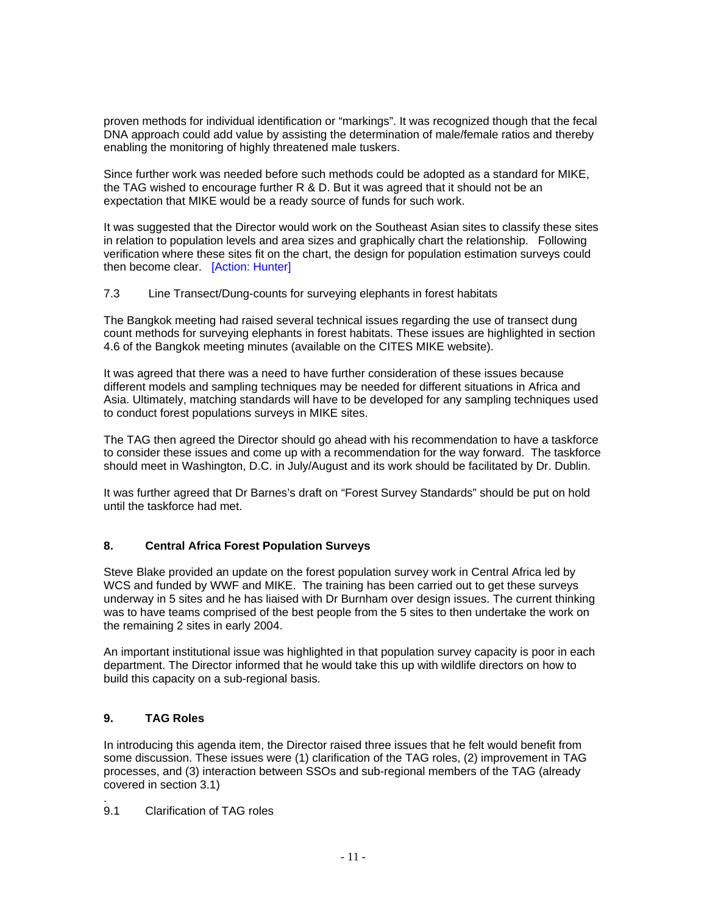proven methods for individual identification or "markings". It was recognized though that the fecal DNA approach could add value by assisting the determination of male/female ratios and thereby enabling the monitoring of highly threatened male tuskers.

Since further work was needed before such methods could be adopted as a standard for MIKE, the TAG wished to encourage further R & D. But it was agreed that it should not be an expectation that MIKE would be a ready source of funds for such work.

It was suggested that the Director would work on the Southeast Asian sites to classify these sites in relation to population levels and area sizes and graphically chart the relationship. Following verification where these sites fit on the chart, the design for population estimation surveys could then become clear. [Action: Hunter]

### 7.3 Line Transect/Dung-counts for surveying elephants in forest habitats

The Bangkok meeting had raised several technical issues regarding the use of transect dung count methods for surveying elephants in forest habitats. These issues are highlighted in section 4.6 of the Bangkok meeting minutes (available on the CITES MIKE website).

It was agreed that there was a need to have further consideration of these issues because different models and sampling techniques may be needed for different situations in Africa and Asia. Ultimately, matching standards will have to be developed for any sampling techniques used to conduct forest populations surveys in MIKE sites.

The TAG then agreed the Director should go ahead with his recommendation to have a taskforce to consider these issues and come up with a recommendation for the way forward. The taskforce should meet in Washington, D.C. in July/August and its work should be facilitated by Dr. Dublin.

It was further agreed that Dr Barnes's draft on "Forest Survey Standards" should be put on hold until the taskforce had met.

## **8. Central Africa Forest Population Surveys**

Steve Blake provided an update on the forest population survey work in Central Africa led by WCS and funded by WWF and MIKE. The training has been carried out to get these surveys underway in 5 sites and he has liaised with Dr Burnham over design issues. The current thinking was to have teams comprised of the best people from the 5 sites to then undertake the work on the remaining 2 sites in early 2004.

An important institutional issue was highlighted in that population survey capacity is poor in each department. The Director informed that he would take this up with wildlife directors on how to build this capacity on a sub-regional basis.

### **9. TAG Roles**

.

In introducing this agenda item, the Director raised three issues that he felt would benefit from some discussion. These issues were (1) clarification of the TAG roles, (2) improvement in TAG processes, and (3) interaction between SSOs and sub-regional members of the TAG (already covered in section 3.1)

9.1 Clarification of TAG roles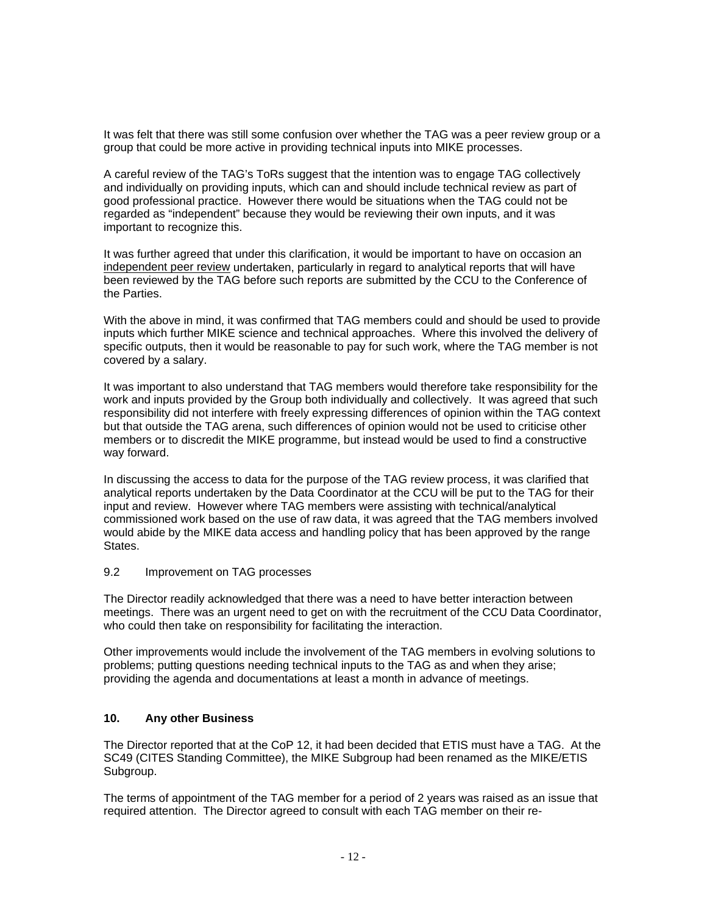It was felt that there was still some confusion over whether the TAG was a peer review group or a group that could be more active in providing technical inputs into MIKE processes.

A careful review of the TAG's ToRs suggest that the intention was to engage TAG collectively and individually on providing inputs, which can and should include technical review as part of good professional practice. However there would be situations when the TAG could not be regarded as "independent" because they would be reviewing their own inputs, and it was important to recognize this.

It was further agreed that under this clarification, it would be important to have on occasion an independent peer review undertaken, particularly in regard to analytical reports that will have been reviewed by the TAG before such reports are submitted by the CCU to the Conference of the Parties.

With the above in mind, it was confirmed that TAG members could and should be used to provide inputs which further MIKE science and technical approaches. Where this involved the delivery of specific outputs, then it would be reasonable to pay for such work, where the TAG member is not covered by a salary.

It was important to also understand that TAG members would therefore take responsibility for the work and inputs provided by the Group both individually and collectively. It was agreed that such responsibility did not interfere with freely expressing differences of opinion within the TAG context but that outside the TAG arena, such differences of opinion would not be used to criticise other members or to discredit the MIKE programme, but instead would be used to find a constructive way forward.

In discussing the access to data for the purpose of the TAG review process, it was clarified that analytical reports undertaken by the Data Coordinator at the CCU will be put to the TAG for their input and review. However where TAG members were assisting with technical/analytical commissioned work based on the use of raw data, it was agreed that the TAG members involved would abide by the MIKE data access and handling policy that has been approved by the range States.

#### 9.2 Improvement on TAG processes

The Director readily acknowledged that there was a need to have better interaction between meetings. There was an urgent need to get on with the recruitment of the CCU Data Coordinator, who could then take on responsibility for facilitating the interaction.

Other improvements would include the involvement of the TAG members in evolving solutions to problems; putting questions needing technical inputs to the TAG as and when they arise; providing the agenda and documentations at least a month in advance of meetings.

#### **10. Any other Business**

The Director reported that at the CoP 12, it had been decided that ETIS must have a TAG. At the SC49 (CITES Standing Committee), the MIKE Subgroup had been renamed as the MIKE/ETIS Subgroup.

The terms of appointment of the TAG member for a period of 2 years was raised as an issue that required attention. The Director agreed to consult with each TAG member on their re-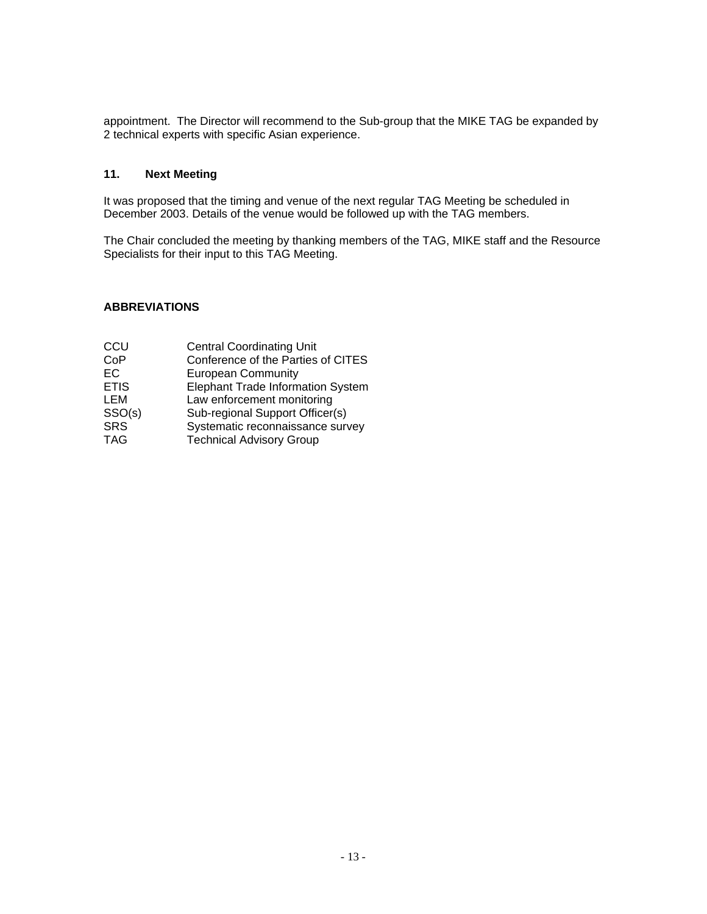appointment. The Director will recommend to the Sub-group that the MIKE TAG be expanded by 2 technical experts with specific Asian experience.

#### **11. Next Meeting**

It was proposed that the timing and venue of the next regular TAG Meeting be scheduled in December 2003. Details of the venue would be followed up with the TAG members.

The Chair concluded the meeting by thanking members of the TAG, MIKE staff and the Resource Specialists for their input to this TAG Meeting.

### **ABBREVIATIONS**

| CCU         | <b>Central Coordinating Unit</b>   |
|-------------|------------------------------------|
| CoP         | Conference of the Parties of CITES |
| EC.         | <b>European Community</b>          |
| <b>ETIS</b> | Elephant Trade Information System  |
| LEM         | Law enforcement monitoring         |
| SSO(s)      | Sub-regional Support Officer(s)    |
| <b>SRS</b>  | Systematic reconnaissance survey   |
| <b>TAG</b>  | <b>Technical Advisory Group</b>    |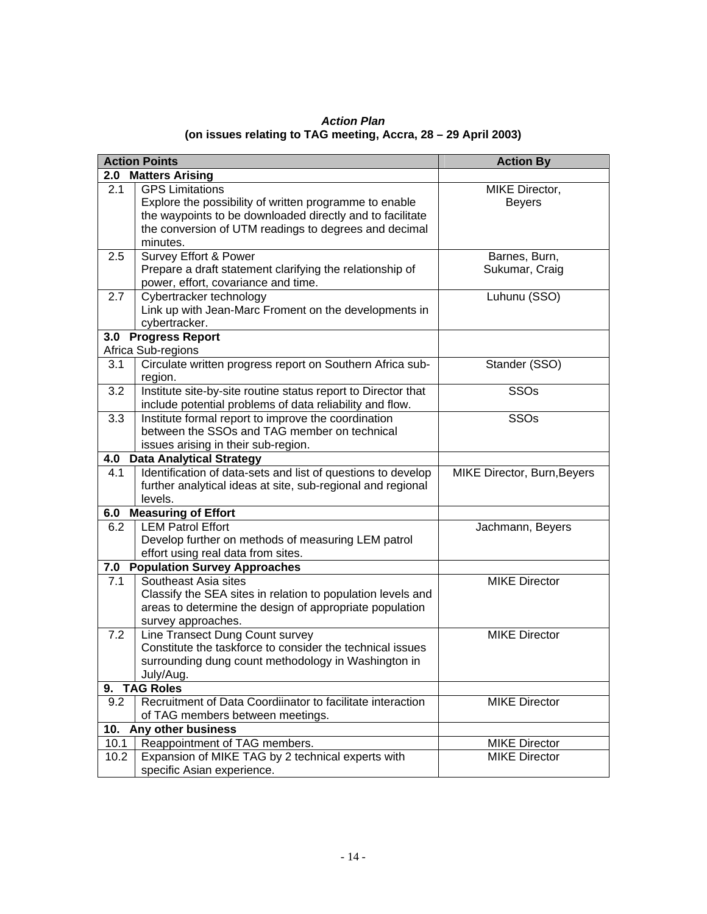| <b>Action Plan</b>                                             |  |  |  |  |
|----------------------------------------------------------------|--|--|--|--|
| (on issues relating to TAG meeting, Accra, 28 - 29 April 2003) |  |  |  |  |

| <b>Action Points</b>                       |                                                                                                                                                                                                                    | <b>Action By</b>                |  |
|--------------------------------------------|--------------------------------------------------------------------------------------------------------------------------------------------------------------------------------------------------------------------|---------------------------------|--|
|                                            | 2.0 Matters Arising                                                                                                                                                                                                |                                 |  |
| 2.1                                        | <b>GPS Limitations</b><br>Explore the possibility of written programme to enable<br>the waypoints to be downloaded directly and to facilitate<br>the conversion of UTM readings to degrees and decimal<br>minutes. | MIKE Director,<br><b>Beyers</b> |  |
| 2.5                                        | Survey Effort & Power<br>Prepare a draft statement clarifying the relationship of<br>power, effort, covariance and time.                                                                                           | Barnes, Burn,<br>Sukumar, Craig |  |
| 2.7                                        | Cybertracker technology<br>Link up with Jean-Marc Froment on the developments in<br>cybertracker.                                                                                                                  | Luhunu (SSO)                    |  |
|                                            | 3.0 Progress Report                                                                                                                                                                                                |                                 |  |
| 3.1                                        | Africa Sub-regions<br>Circulate written progress report on Southern Africa sub-<br>region.                                                                                                                         | Stander (SSO)                   |  |
| 3.2                                        | Institute site-by-site routine status report to Director that<br>include potential problems of data reliability and flow.                                                                                          | <b>SSOs</b>                     |  |
| 3.3                                        | Institute formal report to improve the coordination<br>between the SSOs and TAG member on technical<br>issues arising in their sub-region.                                                                         | <b>SSOs</b>                     |  |
| 4.0                                        | <b>Data Analytical Strategy</b>                                                                                                                                                                                    |                                 |  |
| 4.1                                        | Identification of data-sets and list of questions to develop<br>further analytical ideas at site, sub-regional and regional<br>levels.                                                                             | MIKE Director, Burn, Beyers     |  |
| <b>Measuring of Effort</b><br>6.0          |                                                                                                                                                                                                                    |                                 |  |
| 6.2                                        | <b>LEM Patrol Effort</b><br>Develop further on methods of measuring LEM patrol<br>effort using real data from sites.                                                                                               | Jachmann, Beyers                |  |
| <b>Population Survey Approaches</b><br>7.0 |                                                                                                                                                                                                                    |                                 |  |
| 7.1                                        | Southeast Asia sites<br>Classify the SEA sites in relation to population levels and<br>areas to determine the design of appropriate population<br>survey approaches.                                               | <b>MIKE Director</b>            |  |
| 7.2                                        | Line Transect Dung Count survey<br>Constitute the taskforce to consider the technical issues<br>surrounding dung count methodology in Washington in<br>July/Aug.                                                   | <b>MIKE Director</b>            |  |
| 9.                                         | <b>TAG Roles</b>                                                                                                                                                                                                   |                                 |  |
| 9.2                                        | Recruitment of Data Coordiinator to facilitate interaction<br>of TAG members between meetings.                                                                                                                     | <b>MIKE Director</b>            |  |
| Any other business<br>10.                  |                                                                                                                                                                                                                    |                                 |  |
| 10.1                                       | Reappointment of TAG members.                                                                                                                                                                                      | <b>MIKE Director</b>            |  |
| 10.2                                       | Expansion of MIKE TAG by 2 technical experts with<br>specific Asian experience.                                                                                                                                    | <b>MIKE Director</b>            |  |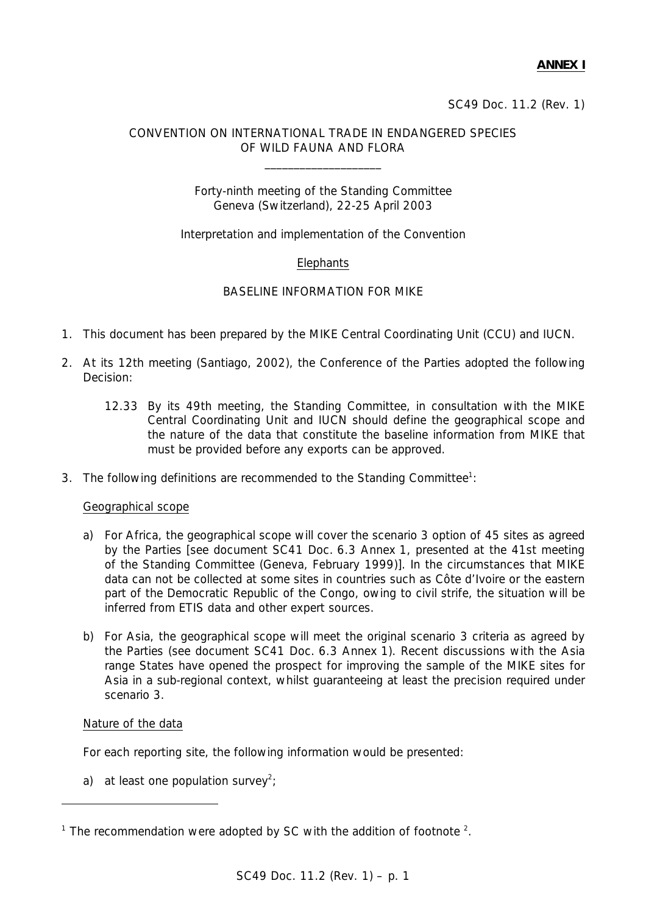SC49 Doc. 11.2 (Rev. 1)

# CONVENTION ON INTERNATIONAL TRADE IN ENDANGERED SPECIES OF WILD FAUNA AND FLORA

 $\_$ 

# Forty-ninth meeting of the Standing Committee Geneva (Switzerland), 22-25 April 2003

# Interpretation and implementation of the Convention

# **Elephants**

# BASELINE INFORMATION FOR MIKE

- 1. This document has been prepared by the MIKE Central Coordinating Unit (CCU) and IUCN.
- 2. At its 12th meeting (Santiago, 2002), the Conference of the Parties adopted the following Decision:
	- *12.33 By its 49th meeting, the Standing Committee, in consultation with the MIKE Central Coordinating Unit and IUCN should define the geographical scope and the nature of the data that constitute the baseline information from MIKE that must be provided before any exports can be approved.*
- 3. The following definitions are recommended to the Standing Committee<sup>1</sup>:

## Geographical scope

- a) For Africa, the geographical scope will cover the scenario 3 option of 45 sites as agreed by the Parties [see document SC41 Doc. 6.3 Annex 1, presented at the 41st meeting of the Standing Committee (Geneva, February 1999)]. In the circumstances that MIKE data can not be collected at some sites in countries such as Côte d'Ivoire or the eastern part of the Democratic Republic of the Congo, owing to civil strife, the situation will be inferred from ETIS data and other expert sources.
- b) For Asia, the geographical scope will meet the original scenario 3 criteria as agreed by the Parties (see document SC41 Doc. 6.3 Annex 1). Recent discussions with the Asia range States have opened the prospect for improving the sample of the MIKE sites for Asia in a sub-regional context, whilst guaranteeing at least the precision required under scenario 3.

## Nature of the data

 $\overline{a}$ 

For each reporting site, the following information would be presented:

a) at least one population survey<sup>2</sup>;

<sup>&</sup>lt;sup>1</sup> The recommendation were adopted by SC with the addition of footnote  $2$ .